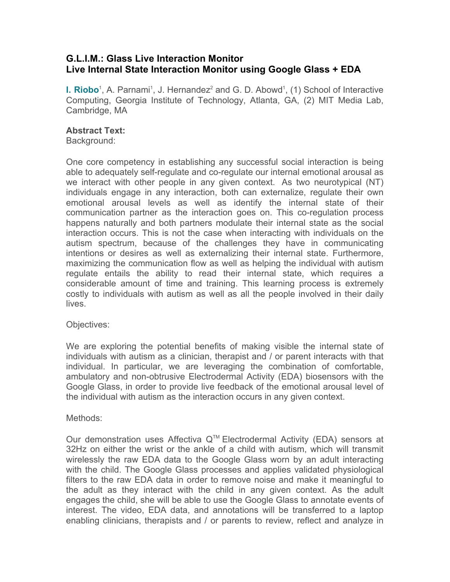## **G.L.I.M.: Glass Live Interaction Monitor Live Internal State Interaction Monitor using Google Glass + EDA**

**I. Riobo**<sup>1</sup>, A. Parnami<sup>1</sup>, J. Hernandez<sup>2</sup> and G. D. Abowd<sup>1</sup>, (1) School of Interactive Computing, Georgia Institute of Technology, Atlanta, GA, (2) MIT Media Lab, Cambridge, MA

## **Abstract Text:**

Background:

One core competency in establishing any successful social interaction is being able to adequately self-regulate and co-regulate our internal emotional arousal as we interact with other people in any given context. As two neurotypical (NT) individuals engage in any interaction, both can externalize, regulate their own emotional arousal levels as well as identify the internal state of their communication partner as the interaction goes on. This co-regulation process happens naturally and both partners modulate their internal state as the social interaction occurs. This is not the case when interacting with individuals on the autism spectrum, because of the challenges they have in communicating intentions or desires as well as externalizing their internal state. Furthermore, maximizing the communication flow as well as helping the individual with autism regulate entails the ability to read their internal state, which requires a considerable amount of time and training. This learning process is extremely costly to individuals with autism as well as all the people involved in their daily lives.

## Objectives:

We are exploring the potential benefits of making visible the internal state of individuals with autism as a clinician, therapist and / or parent interacts with that individual. In particular, we are leveraging the combination of comfortable, ambulatory and non-obtrusive Electrodermal Activity (EDA) biosensors with the Google Glass, in order to provide live feedback of the emotional arousal level of the individual with autism as the interaction occurs in any given context.

## Methods:

Our demonstration uses Affectiva  $Q^{TM}$  Electrodermal Activity (EDA) sensors at 32Hz on either the wrist or the ankle of a child with autism, which will transmit wirelessly the raw EDA data to the Google Glass worn by an adult interacting with the child. The Google Glass processes and applies validated physiological filters to the raw EDA data in order to remove noise and make it meaningful to the adult as they interact with the child in any given context. As the adult engages the child, she will be able to use the Google Glass to annotate events of interest. The video, EDA data, and annotations will be transferred to a laptop enabling clinicians, therapists and / or parents to review, reflect and analyze in